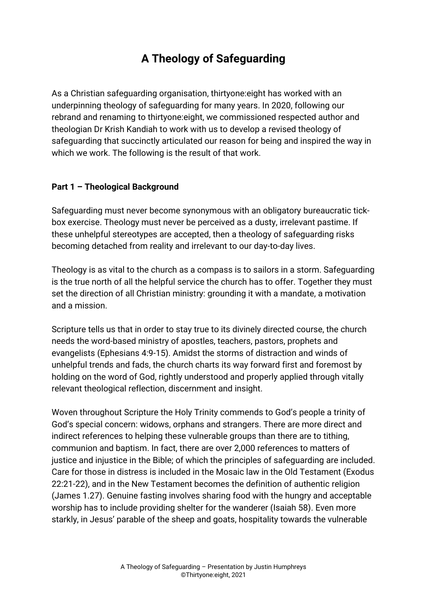# **A Theology of Safeguarding**

As a Christian safeguarding organisation, thirtyone:eight has worked with an underpinning theology of safeguarding for many years. In 2020, following our rebrand and renaming to thirtyone:eight, we commissioned respected author and theologian Dr Krish Kandiah to work with us to develop a revised theology of safeguarding that succinctly articulated our reason for being and inspired the way in which we work. The following is the result of that work.

## **Part 1 – Theological Background**

Safeguarding must never become synonymous with an obligatory bureaucratic tickbox exercise. Theology must never be perceived as a dusty, irrelevant pastime. If these unhelpful stereotypes are accepted, then a theology of safeguarding risks becoming detached from reality and irrelevant to our day-to-day lives.

Theology is as vital to the church as a compass is to sailors in a storm. Safeguarding is the true north of all the helpful service the church has to offer. Together they must set the direction of all Christian ministry: grounding it with a mandate, a motivation and a mission.

Scripture tells us that in order to stay true to its divinely directed course, the church needs the word-based ministry of apostles, teachers, pastors, prophets and evangelists (Ephesians 4:9-15). Amidst the storms of distraction and winds of unhelpful trends and fads, the church charts its way forward first and foremost by holding on the word of God, rightly understood and properly applied through vitally relevant theological reflection, discernment and insight.

Woven throughout Scripture the Holy Trinity commends to God's people a trinity of God's special concern: widows, orphans and strangers. There are more direct and indirect references to helping these vulnerable groups than there are to tithing, communion and baptism. In fact, there are over 2,000 references to matters of justice and injustice in the Bible; of which the principles of safeguarding are included. Care for those in distress is included in the Mosaic law in the Old Testament (Exodus 22:21-22), and in the New Testament becomes the definition of authentic religion (James 1.27). Genuine fasting involves sharing food with the hungry and acceptable worship has to include providing shelter for the wanderer (Isaiah 58). Even more starkly, in Jesus' parable of the sheep and goats, hospitality towards the vulnerable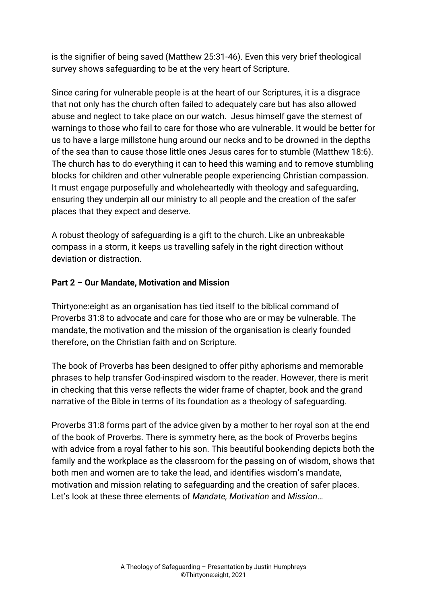is the signifier of being saved (Matthew 25:31-46). Even this very brief theological survey shows safeguarding to be at the very heart of Scripture.

Since caring for vulnerable people is at the heart of our Scriptures, it is a disgrace that not only has the church often failed to adequately care but has also allowed abuse and neglect to take place on our watch. Jesus himself gave the sternest of warnings to those who fail to care for those who are vulnerable. It would be better for us to have a large millstone hung around our necks and to be drowned in the depths of the sea than to cause those little ones Jesus cares for to stumble (Matthew 18:6). The church has to do everything it can to heed this warning and to remove stumbling blocks for children and other vulnerable people experiencing Christian compassion. It must engage purposefully and wholeheartedly with theology and safeguarding, ensuring they underpin all our ministry to all people and the creation of the safer places that they expect and deserve.

A robust theology of safeguarding is a gift to the church. Like an unbreakable compass in a storm, it keeps us travelling safely in the right direction without deviation or distraction.

## **Part 2 – Our Mandate, Motivation and Mission**

Thirtyone:eight as an organisation has tied itself to the biblical command of Proverbs 31:8 to advocate and care for those who are or may be vulnerable. The mandate, the motivation and the mission of the organisation is clearly founded therefore, on the Christian faith and on Scripture.

The book of Proverbs has been designed to offer pithy aphorisms and memorable phrases to help transfer God-inspired wisdom to the reader. However, there is merit in checking that this verse reflects the wider frame of chapter, book and the grand narrative of the Bible in terms of its foundation as a theology of safeguarding.

Proverbs 31:8 forms part of the advice given by a mother to her royal son at the end of the book of Proverbs. There is symmetry here, as the book of Proverbs begins with advice from a royal father to his son. This beautiful bookending depicts both the family and the workplace as the classroom for the passing on of wisdom, shows that both men and women are to take the lead, and identifies wisdom's mandate, motivation and mission relating to safeguarding and the creation of safer places. Let's look at these three elements of *Mandate, Motivation* and *Mission*…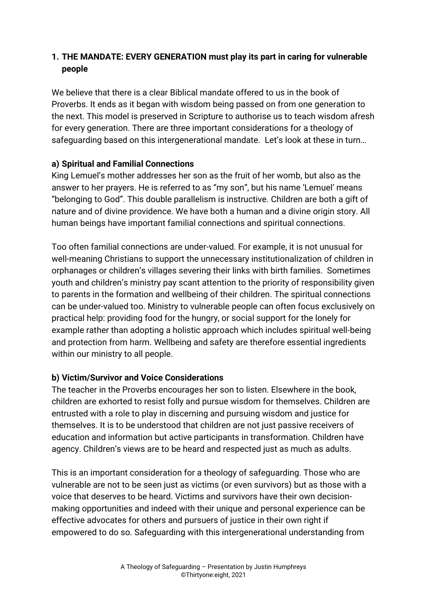# **1. THE MANDATE: EVERY GENERATION must play its part in caring for vulnerable people**

We believe that there is a clear Biblical mandate offered to us in the book of Proverbs. It ends as it began with wisdom being passed on from one generation to the next. This model is preserved in Scripture to authorise us to teach wisdom afresh for every generation. There are three important considerations for a theology of safeguarding based on this intergenerational mandate. Let's look at these in turn…

## **a) Spiritual and Familial Connections**

King Lemuel's mother addresses her son as the fruit of her womb, but also as the answer to her prayers. He is referred to as "my son", but his name 'Lemuel' means "belonging to God". This double parallelism is instructive. Children are both a gift of nature and of divine providence. We have both a human and a divine origin story. All human beings have important familial connections and spiritual connections.

Too often familial connections are under-valued. For example, it is not unusual for well-meaning Christians to support the unnecessary institutionalization of children in orphanages or children's villages severing their links with birth families. Sometimes youth and children's ministry pay scant attention to the priority of responsibility given to parents in the formation and wellbeing of their children. The spiritual connections can be under-valued too. Ministry to vulnerable people can often focus exclusively on practical help: providing food for the hungry, or social support for the lonely for example rather than adopting a holistic approach which includes spiritual well-being and protection from harm. Wellbeing and safety are therefore essential ingredients within our ministry to all people.

## **b) Victim/Survivor and Voice Considerations**

The teacher in the Proverbs encourages her son to listen. Elsewhere in the book, children are exhorted to resist folly and pursue wisdom for themselves. Children are entrusted with a role to play in discerning and pursuing wisdom and justice for themselves. It is to be understood that children are not just passive receivers of education and information but active participants in transformation. Children have agency. Children's views are to be heard and respected just as much as adults.

This is an important consideration for a theology of safeguarding. Those who are vulnerable are not to be seen just as victims (or even survivors) but as those with a voice that deserves to be heard. Victims and survivors have their own decisionmaking opportunities and indeed with their unique and personal experience can be effective advocates for others and pursuers of justice in their own right if empowered to do so. Safeguarding with this intergenerational understanding from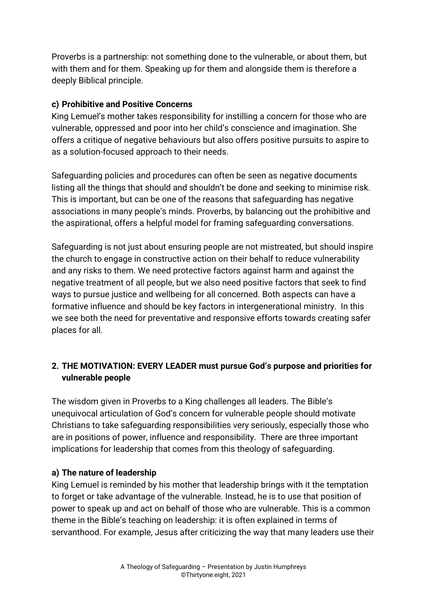Proverbs is a partnership: not something done to the vulnerable, or about them, but with them and for them. Speaking up for them and alongside them is therefore a deeply Biblical principle.

## **c) Prohibitive and Positive Concerns**

King Lemuel's mother takes responsibility for instilling a concern for those who are vulnerable, oppressed and poor into her child's conscience and imagination. She offers a critique of negative behaviours but also offers positive pursuits to aspire to as a solution-focused approach to their needs.

Safeguarding policies and procedures can often be seen as negative documents listing all the things that should and shouldn't be done and seeking to minimise risk. This is important, but can be one of the reasons that safeguarding has negative associations in many people's minds. Proverbs, by balancing out the prohibitive and the aspirational, offers a helpful model for framing safeguarding conversations.

Safeguarding is not just about ensuring people are not mistreated, but should inspire the church to engage in constructive action on their behalf to reduce vulnerability and any risks to them. We need protective factors against harm and against the negative treatment of all people, but we also need positive factors that seek to find ways to pursue justice and wellbeing for all concerned. Both aspects can have a formative influence and should be key factors in intergenerational ministry. In this we see both the need for preventative and responsive efforts towards creating safer places for all.

# **2. THE MOTIVATION: EVERY LEADER must pursue God's purpose and priorities for vulnerable people**

The wisdom given in Proverbs to a King challenges all leaders. The Bible's unequivocal articulation of God's concern for vulnerable people should motivate Christians to take safeguarding responsibilities very seriously, especially those who are in positions of power, influence and responsibility. There are three important implications for leadership that comes from this theology of safeguarding.

## **a) The nature of leadership**

King Lemuel is reminded by his mother that leadership brings with it the temptation to forget or take advantage of the vulnerable. Instead, he is to use that position of power to speak up and act on behalf of those who are vulnerable. This is a common theme in the Bible's teaching on leadership: it is often explained in terms of servanthood. For example, Jesus after criticizing the way that many leaders use their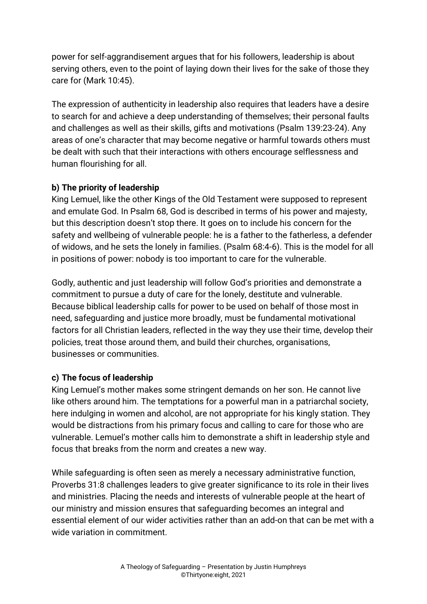power for self-aggrandisement argues that for his followers, leadership is about serving others, even to the point of laying down their lives for the sake of those they care for (Mark 10:45).

The expression of authenticity in leadership also requires that leaders have a desire to search for and achieve a deep understanding of themselves; their personal faults and challenges as well as their skills, gifts and motivations (Psalm 139:23-24). Any areas of one's character that may become negative or harmful towards others must be dealt with such that their interactions with others encourage selflessness and human flourishing for all.

# **b) The priority of leadership**

King Lemuel, like the other Kings of the Old Testament were supposed to represent and emulate God. In Psalm 68, God is described in terms of his power and majesty, but this description doesn't stop there. It goes on to include his concern for the safety and wellbeing of vulnerable people: he is a father to the fatherless, a defender of widows, and he sets the lonely in families. (Psalm 68:4-6). This is the model for all in positions of power: nobody is too important to care for the vulnerable.

Godly, authentic and just leadership will follow God's priorities and demonstrate a commitment to pursue a duty of care for the lonely, destitute and vulnerable. Because biblical leadership calls for power to be used on behalf of those most in need, safeguarding and justice more broadly, must be fundamental motivational factors for all Christian leaders, reflected in the way they use their time, develop their policies, treat those around them, and build their churches, organisations, businesses or communities.

## **c) The focus of leadership**

King Lemuel's mother makes some stringent demands on her son. He cannot live like others around him. The temptations for a powerful man in a patriarchal society, here indulging in women and alcohol, are not appropriate for his kingly station. They would be distractions from his primary focus and calling to care for those who are vulnerable. Lemuel's mother calls him to demonstrate a shift in leadership style and focus that breaks from the norm and creates a new way.

While safeguarding is often seen as merely a necessary administrative function, Proverbs 31:8 challenges leaders to give greater significance to its role in their lives and ministries. Placing the needs and interests of vulnerable people at the heart of our ministry and mission ensures that safeguarding becomes an integral and essential element of our wider activities rather than an add-on that can be met with a wide variation in commitment.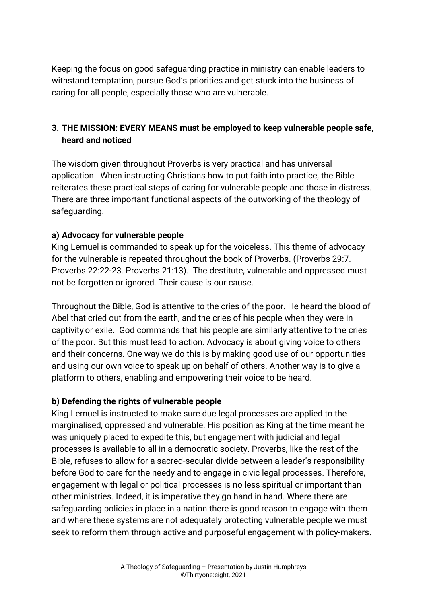Keeping the focus on good safeguarding practice in ministry can enable leaders to withstand temptation, pursue God's priorities and get stuck into the business of caring for all people, especially those who are vulnerable.

# **3. THE MISSION: EVERY MEANS must be employed to keep vulnerable people safe, heard and noticed**

The wisdom given throughout Proverbs is very practical and has universal application. When instructing Christians how to put faith into practice, the Bible reiterates these practical steps of caring for vulnerable people and those in distress. There are three important functional aspects of the outworking of the theology of safeguarding.

## **a) Advocacy for vulnerable people**

King Lemuel is commanded to speak up for the voiceless. This theme of advocacy for the vulnerable is repeated throughout the book of Proverbs. (Proverbs 29:7. Proverbs 22:22-23. Proverbs 21:13). The destitute, vulnerable and oppressed must not be forgotten or ignored. Their cause is our cause.

Throughout the Bible, God is attentive to the cries of the poor. He heard the blood of Abel that cried out from the earth, and the cries of his people when they were in captivity or exile. God commands that his people are similarly attentive to the cries of the poor. But this must lead to action. Advocacy is about giving voice to others and their concerns. One way we do this is by making good use of our opportunities and using our own voice to speak up on behalf of others. Another way is to give a platform to others, enabling and empowering their voice to be heard.

## **b) Defending the rights of vulnerable people**

King Lemuel is instructed to make sure due legal processes are applied to the marginalised, oppressed and vulnerable. His position as King at the time meant he was uniquely placed to expedite this, but engagement with judicial and legal processes is available to all in a democratic society. Proverbs, like the rest of the Bible, refuses to allow for a sacred-secular divide between a leader's responsibility before God to care for the needy and to engage in civic legal processes. Therefore, engagement with legal or political processes is no less spiritual or important than other ministries. Indeed, it is imperative they go hand in hand. Where there are safeguarding policies in place in a nation there is good reason to engage with them and where these systems are not adequately protecting vulnerable people we must seek to reform them through active and purposeful engagement with policy-makers.